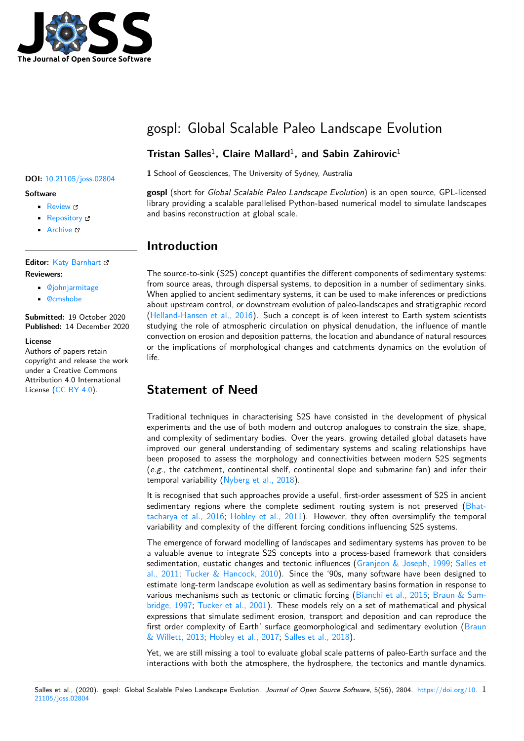

# gospl: Global Scalable Paleo Landscape Evolution

## **Tristan Salles**<sup>1</sup> **, Claire Mallard**<sup>1</sup> **, and Sabin Zahirovic**<sup>1</sup>

### **Software**

- Review &
- [Repository](https://doi.org/10.21105/joss.02804) &
- Archive

### **Editor:** [Katy Bar](https://github.com/Geodels/gospl/)nhart **Revie[wers:](https://doi.org/10.5281/zenodo.4319332)**

### • @johnjarmitage

• @[cmshobe](https://github.com/kbarnhart)

**Submitted:** 19 October 2020 **Published:** [14 Decem](https://github.com/johnjarmitage)ber 2020

#### **License**

Autho[rs of paper](https://github.com/cmshobe)s retain copyright and release the work under a Creative Commons Attribution 4.0 International License (CC BY 4.0).

# **<sup>1</sup>** School of Geosciences, The University of Sydney, Australia **DOI:** 10.21105/joss.02804

**gospl** (short for *Global Scalable Paleo Landscape Evolution*) is an open source, GPL-licensed library providing a scalable parallelised Python-based numerical model to simulate landscapes and basins reconstruction at global scale.

## **Introduction**

The source-to-sink (S2S) concept quantifies the different components of sedimentary systems: from source areas, through dispersal systems, to deposition in a number of sedimentary sinks. When applied to ancient sedimentary systems, it can be used to make inferences or predictions about upstream control, or downstream evolution of paleo-landscapes and stratigraphic record (Helland-Hansen et al., 2016). Such a concept is of keen interest to Earth system scientists studying the role of atmospheric circulation on physical denudation, the influence of mantle convection on erosion and deposition patterns, the location and abundance of natural resources or the implications of morphological changes and catchments dynamics on the evolution of l[ife.](#page-3-0)

## **Statement of Need**

Traditional techniques in characterising S2S have consisted in the development of physical experiments and the use of both modern and outcrop analogues to constrain the size, shape, and complexity of sedimentary bodies. Over the years, growing detailed global datasets have improved our general understanding of sedimentary systems and scaling relationships have been proposed to assess the morphology and connectivities between modern S2S segments (*e.g.,* the catchment, continental shelf, continental slope and submarine fan) and infer their temporal variability (Nyberg et al., 2018).

It is recognised that such approaches provide a useful, first-order assessment of S2S in ancient sedimentary regions where the complete sediment routing system is not preserved  $(Bhat)$ tacharya et al., 2016; Hobley et al., 2011). However, they often oversimplify the temporal variability and compl[exity of the differen](#page-3-1)t forcing conditions influencing S2S systems.

The emergence of forward modelling of landscapes and sedimentary systems has proven to be a valuable avenue to integrate S2S concepts into a process-based framework that co[nsiders](#page-2-0) [sedimentation, eustat](#page-2-0)i[c changes and tecton](#page-3-2)ic influences (Granjeon & Joseph, 1999; Salles et al., 2011; Tucker & Hancock, 2010). Since the '90s, many software have been designed to estimate long-term landscape evolution as well as sedimentary basins formation in response to various mechanisms such as tectonic or climatic forcing (Bianchi et al., 2015; Braun & Sambridge, 1997; Tucker et al., 2001). These models rely on [a set of mathematical and](#page-3-3) [physical](#page-3-4) [expressio](#page-3-4)n[s that simulate sediment](#page-4-0) erosion, transport and deposition and can reproduce the first order complexity of Earth' surface geomorphological and sedimentary evolution (Braun & Willett, 2013; Hobley et al., 2017; Salles et al., 2018).

[Yet, we are s](#page-2-1)t[ill missing a tool to](#page-4-1) evaluate global scale patterns of paleo-Earth surface and the interactions with both the atmosphere, the hydrosphere, the tectonics and mantle dyn[amics.](#page-2-2)

#### Salles et al., (2020). gospl: Global Scalable Paleo Landscape Evolution. *Journal of Open Source Software*, 5(56), 2804. https://doi.org/10. 1 21105/joss.02804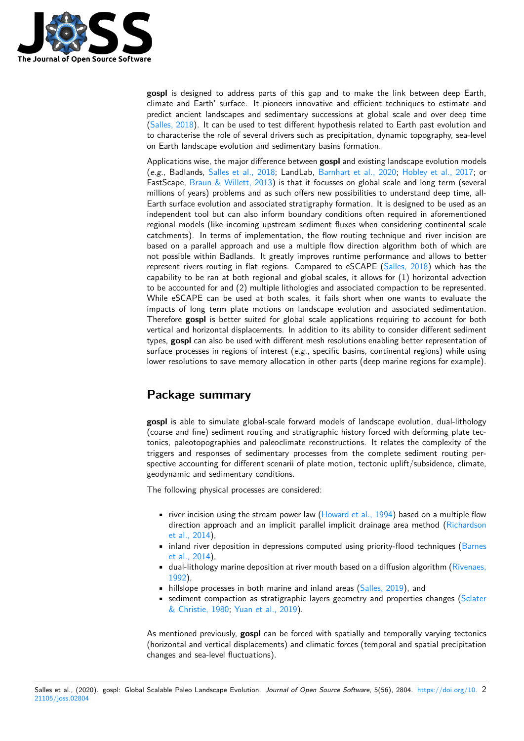

**gospl** is designed to address parts of this gap and to make the link between deep Earth, climate and Earth' surface. It pioneers innovative and efficient techniques to estimate and predict ancient landscapes and sedimentary successions at global scale and over deep time (Salles, 2018). It can be used to test different hypothesis related to Earth past evolution and to characterise the role of several drivers such as precipitation, dynamic topography, sea-level on Earth landscape evolution and sedimentary basins formation.

[Applications](#page-3-5) wise, the major difference between **gospl** and existing landscape evolution models (*e.g.,* Badlands, Salles et al., 2018; LandLab, Barnhart et al., 2020; Hobley et al., 2017; or FastScape, Braun & Willett, 2013) is that it focusses on global scale and long term (several millions of years) problems and as such offers new possibilities to understand deep time, all-Earth surface evolution and associated stratigraphy formation. It is designed to be used as an independent too[l but can also info](#page-3-6)rm boundar[y conditions often req](#page-2-3)[uired in aforementio](#page-3-7)ned regional m[odels \(like incoming ups](#page-2-2)tream sediment fluxes when considering continental scale catchments). In terms of implementation, the flow routing technique and river incision are based on a parallel approach and use a multiple flow direction algorithm both of which are not possible within Badlands. It greatly improves runtime performance and allows to better represent rivers routing in flat regions. Compared to eSCAPE (Salles, 2018) which has the capability to be ran at both regional and global scales, it allows for  $(1)$  horizontal advection to be accounted for and (2) multiple lithologies and associated compaction to be represented. While eSCAPE can be used at both scales, it fails short when one wants to evaluate the impacts of long term plate motions on landscape evolution an[d associated](#page-3-5) sedimentation. Therefore **gospl** is better suited for global scale applications requiring to account for both vertical and horizontal displacements. In addition to its ability to consider different sediment types, **gospl** can also be used with different mesh resolutions enabling better representation of surface processes in regions of interest (*e.g.,* specific basins, continental regions) while using lower resolutions to save memory allocation in other parts (deep marine regions for example).

## **Package summary**

**gospl** is able to simulate global-scale forward models of landscape evolution, dual-lithology (coarse and fine) sediment routing and stratigraphic history forced with deforming plate tectonics, paleotopographies and paleoclimate reconstructions. It relates the complexity of the triggers and responses of sedimentary processes from the complete sediment routing perspective accounting for different scenarii of plate motion, tectonic uplift/subsidence, climate, geodynamic and sedimentary conditions.

The following physical processes are considered:

- river incision using the stream power law (Howard et al., 1994) based on a multiple flow direction approach and an implicit parallel implicit drainage area method (Richardson et al., 2014),
- inland river deposition in depressions computed using priority-flood techniques (Barnes et al., 2014),
- dual-lithology marine deposition at river m[outh based on a diffu](#page-3-8)sion algorith[m \(Rivenaes,](#page-3-9) [1992\),](#page-3-9)
- hillslope processes in both marine and inland areas (Salles, 2019), and
- [sediment co](#page-2-4)mpaction as stratigraphic layers geometry and properties changes ([Sclater](#page-2-4) & Christie, 1980; Yuan et al., 2019).

As mentioned previously, **gospl** can be forced with spatial[ly and tempo](#page-3-10)rally varying tectonics (horizontal and vertical displacements) and climatic forces (temporal and spatial preci[pitation](#page-4-2) chang[es and sea-level fl](#page-4-2)[uctuations\).](#page-4-3)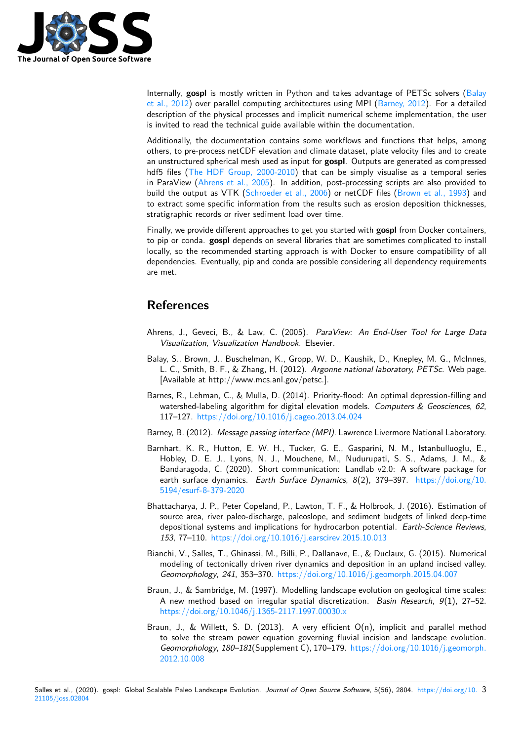

Internally, **gospl** is mostly written in Python and takes advantage of PETSc solvers (Balay et al., 2012) over parallel computing architectures using MPI (Barney, 2012). For a detailed description of the physical processes and implicit numerical scheme implementation, the user is invited to read the technical guide available within the documentation.

Additionally, the documentation contains some workflows and functions that helps, a[mong](#page-2-5) [others, to pr](#page-2-5)e-process netCDF elevation and climate dataset, pl[ate velocity fi](#page-2-6)les and to create an unstructured spherical mesh used as input for **gospl**. Outputs are generated as compressed hdf5 files (The HDF Group, 2000-2010) that can be simply visualise as a temporal series in ParaView (Ahrens et al., 2005). In addition, post-processing scripts are also provided to build the output as VTK (Schroeder et al., 2006) or netCDF files (Brown et al., 1993) and to extract some specific information from the results such as erosion deposition thicknesses, stratigraph[ic records or river sediment lo](#page-4-4)ad over time.

Finally, we pr[ovide different approa](#page-2-7)ches to get you started with **gospl** from Docker containers, to pip or conda. **gospl** de[pends on several librarie](#page-3-11)s that are someti[mes complicated to i](#page-3-12)nstall locally, so the recommended starting approach is with Docker to ensure compatibility of all dependencies. Eventually, pip and conda are possible considering all dependency requirements are met.

## **References**

- Ahrens, J., Geveci, B., & Law, C. (2005). *ParaView: An End-User Tool for Large Data Visualization, Visualization Handbook*. Elsevier.
- <span id="page-2-7"></span>Balay, S., Brown, J., Buschelman, K., Gropp, W. D., Kaushik, D., Knepley, M. G., McInnes, L. C., Smith, B. F., & Zhang, H. (2012). *Argonne national laboratory, PETSc*. Web page. [Available at http://www.mcs.anl.gov/petsc.].
- <span id="page-2-5"></span>Barnes, R., Lehman, C., & Mulla, D. (2014). Priority-flood: An optimal depression-filling and watershed-labeling algorithm for digital elevation models. *Computers & Geosciences*, *62*, 117–127. https://doi.org/10.1016/j.cageo.2013.04.024
- Barney, B. (2012). *Message passing interface (MPI)*. Lawrence Livermore National Laboratory.
- <span id="page-2-4"></span>Barnhart, K. R., Hutton, E. W. H., Tucker, G. E., Gasparini, N. M., Istanbulluoglu, E., Hobley, [D. E. J., Lyons, N. J., Mouchene, M., Nudu](https://doi.org/10.1016/j.cageo.2013.04.024)rupati, S. S., Adams, J. M., & Bandaragoda, C. (2020). Short communication: Landlab v2.0: A software package for earth surface dynamics. *Earth Surface Dynamics*, *8*(2), 379–397. https://doi.org/10. 5194/esurf-8-379-2020
- <span id="page-2-6"></span><span id="page-2-3"></span>Bhattacharya, J. P., Peter Copeland, P., Lawton, T. F., & Holbrook, J. (2016). Estimation of source area, river paleo-discharge, paleoslope, and sediment budgets of linked deep-time [depositional systems an](https://doi.org/10.5194/esurf-8-379-2020)d implications for hydrocarbon potential. *Ear[th-Science Reviews](https://doi.org/10.5194/esurf-8-379-2020)*, *153*, 77–110. https://doi.org/10.1016/j.earscirev.2015.10.013
- <span id="page-2-0"></span>Bianchi, V., Salles, T., Ghinassi, M., Billi, P., Dallanave, E., & Duclaux, G. (2015). Numerical modeling of tectonically driven river dynamics and deposition in an upland incised valley. *Geomorphology*, *241*, 353–370. [https://doi.org/10.1016/j.geo](https://doi.org/10.1016/j.earscirev.2015.10.013)morph.2015.04.007
- Braun, J., & Sambridge, M. (1997). Modelling landscape evolution on geological time scales: A new method based on irregular spatial discretization. *Basin Research*, *9*(1), 27–52. https://doi.org/10.1046/j.1365[-2117.1997.00030.x](https://doi.org/10.1016/j.geomorph.2015.04.007)
- <span id="page-2-2"></span><span id="page-2-1"></span>Braun, J., & Willett, S. D. (2013). A very efficient O(n), implicit and parallel method to solve the stream power equation governing fluvial incision and landscape evolution. *Geomorphology*, *180–181*[\(Supplement C\), 170–179.](https://doi.org/10.1046/j.1365-2117.1997.00030.x) https://doi.org/10.1016/j.geomorph. 2012.10.008

Salles et al., (2020). gospl: Global Scalable Paleo Landscape Evolution. *Journal of Open Source Software*, 5(56), 2804. [https://doi.org/10.](https://doi.org/10.1016/j.geomorph.2012.10.008) 3 21105/joss.02804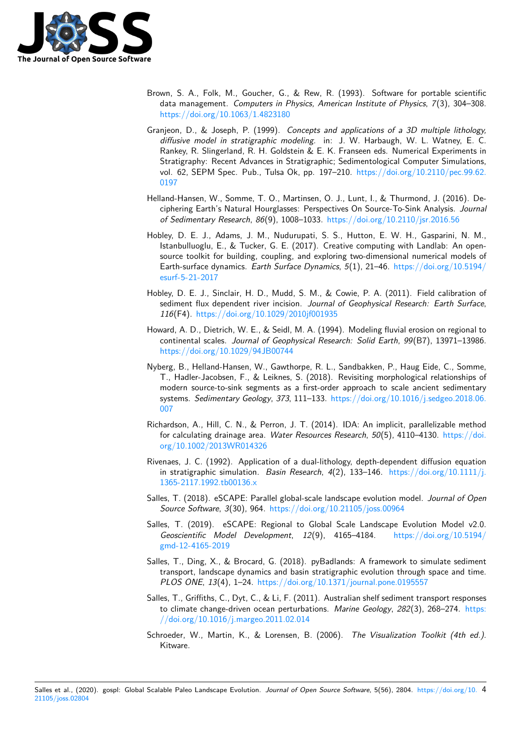

- Brown, S. A., Folk, M., Goucher, G., & Rew, R. (1993). Software for portable scientific data management. *Computers in Physics, American Institute of Physics*, *7*(3), 304–308. https://doi.org/10.1063/1.4823180
- <span id="page-3-12"></span>Granjeon, D., & Joseph, P. (1999). *Concepts and applications of a 3D multiple lithology, diffusive model in stratigraphic modeling*. in: J. W. Harbaugh, W. L. Watney, E. C. Rankey, R. Slingerland, R. H. Goldstein & E. K. Franseen eds. Numerical Experiments in [Stratigraphy: Recent Advances in S](https://doi.org/10.1063/1.4823180)tratigraphic; Sedimentological Computer Simulations, vol. 62, SEPM Spec. Pub., Tulsa Ok, pp. 197–210. https://doi.org/10.2110/pec.99.62. 0197
- <span id="page-3-3"></span>Helland-Hansen, W., Somme, T. O., Martinsen, O. J., Lunt, I., & Thurmond, J. (2016). Deciphering Earth's Natural Hourglasses: Perspectives On Source-To-Sink Analysis. *Journal [of Se](https://doi.org/10.2110/pec.99.62.0197)dimentary Research*, *86*(9), 1008–1033. https:/[/doi.org/10.2110/jsr.2016.56](https://doi.org/10.2110/pec.99.62.0197)
- <span id="page-3-0"></span>Hobley, D. E. J., Adams, J. M., Nudurupati, S. S., Hutton, E. W. H., Gasparini, N. M., Istanbulluoglu, E., & Tucker, G. E. (2017). Creative computing with Landlab: An opensource toolkit for building, coupling, and exp[loring two-dimensional numerical mo](https://doi.org/10.2110/jsr.2016.56)dels of Earth-surface dynamics. *Earth Surface Dynamics*, *5*(1), 21–46. https://doi.org/10.5194/ esurf-5-21-2017
- <span id="page-3-7"></span>Hobley, D. E. J., Sinclair, H. D., Mudd, S. M., & Cowie, P. A. (2011). Field calibration of sediment flux dependent river incision. *Journal of Geophysical [Research: Earth Surface](https://doi.org/10.5194/esurf-5-21-2017)*, *116*(F4). [https:/](https://doi.org/10.5194/esurf-5-21-2017)/doi.org/10.1029/2010jf001935
- <span id="page-3-2"></span>Howard, A. D., Dietrich, W. E., & Seidl, M. A. (1994). Modeling fluvial erosion on regional to continental scales. *Journal of Geophysical Research: Solid Earth*, *99*(B7), 13971–13986. https://d[oi.org/10.1029/94JB00744](https://doi.org/10.1029/2010jf001935)
- <span id="page-3-8"></span>Nyberg, B., Helland-Hansen, W., Gawthorpe, R. L., Sandbakken, P., Haug Eide, C., Somme, T., Hadler-Jacobsen, F., & Leiknes, S. (2018). Revisiting morphological relationships of [modern source-to-sink segments as](https://doi.org/10.1029/94JB00744) a first-order approach to scale ancient sedimentary systems. *Sedimentary Geology*, *373*, 111–133. https://doi.org/10.1016/j.sedgeo.2018.06. 007
- <span id="page-3-1"></span>Richardson, A., Hill, C. N., & Perron, J. T. (2014). IDA: An implicit, parallelizable method for calculating drainage area. *Water Resources Research*, *50*[\(5\), 4110–4130.](https://doi.org/10.1016/j.sedgeo.2018.06.007) https://doi. [org/](https://doi.org/10.1016/j.sedgeo.2018.06.007)10.1002/2013WR014326
- <span id="page-3-9"></span>Rivenaes, J. C. (1992). Application of a dual-lithology, depth-dependent diffusion equation in stratigraphic simulation. *Basin Research*, *4*(2), 133–146. https://doi.or[g/10.1111/j.](https://doi.org/10.1002/2013WR014326) [1365-2117.1992.tb00136.x](https://doi.org/10.1002/2013WR014326)
- Salles, T. (2018). eSCAPE: Parallel global-scale landscape evolution model. *Journal of Open Source Software*, *3*(30), 964. https://doi.org/10.21105/joss.00964
- Sall[es, T. \(2019\). eSCAPE:](https://doi.org/10.1111/j.1365-2117.1992.tb00136.x) Regional to Global Scale Landsc[ape Evolution Model v2.0.](https://doi.org/10.1111/j.1365-2117.1992.tb00136.x) *Geoscientific Model Development*, *12*(9), 4165–4184. https://doi.org/10.5194/ gmd-12-4165-2019
- <span id="page-3-10"></span><span id="page-3-5"></span>Salles, T., Ding, X., & Brocard, [G. \(2018\). pyBadlands: A framework](https://doi.org/10.21105/joss.00964) to simulate sediment transport, landscape dynamics and basin stratigraphic evolutio[n through space and time.](https://doi.org/10.5194/gmd-12-4165-2019) *[PLOS ONE](https://doi.org/10.5194/gmd-12-4165-2019)*, *13*(4), 1–24. https://doi.org/10.1371/journal.pone.0195557
- <span id="page-3-6"></span>Salles, T., Griffiths, C., Dyt, C., & Li, F. (2011). Australian shelf sediment transport responses to climate change-driven ocean perturbations. *Marine Geology*, *282*(3), 268–274. https: //doi.org/10.1016/j.marg[eo.2011.02.014](https://doi.org/10.1371/journal.pone.0195557)
- <span id="page-3-11"></span><span id="page-3-4"></span>Schroeder, W., Martin, K., & Lorensen, B. (2006). *The Visualization Toolkit (4th ed.)*. Kitware.

Salles et al., (2020). gospl: Global Scalable Paleo Landscape Evolution. *Journal of Open Source Software*, 5(56), 2804. https://doi.org/10. 4 21105/joss.02804